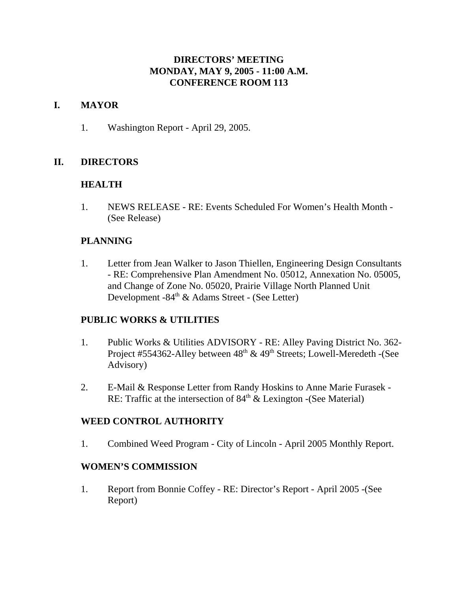## **DIRECTORS' MEETING MONDAY, MAY 9, 2005 - 11:00 A.M. CONFERENCE ROOM 113**

## **I. MAYOR**

1. Washington Report - April 29, 2005.

## **II. DIRECTORS**

## **HEALTH**

1. NEWS RELEASE - RE: Events Scheduled For Women's Health Month - (See Release)

## **PLANNING**

1. Letter from Jean Walker to Jason Thiellen, Engineering Design Consultants - RE: Comprehensive Plan Amendment No. 05012, Annexation No. 05005, and Change of Zone No. 05020, Prairie Village North Planned Unit Development  $-84<sup>th</sup>$  & Adams Street - (See Letter)

## **PUBLIC WORKS & UTILITIES**

- 1. Public Works & Utilities ADVISORY RE: Alley Paving District No. 362- Project #554362-Alley between  $48<sup>th</sup>$  &  $49<sup>th</sup>$  Streets; Lowell-Meredeth -(See Advisory)
- 2. E-Mail & Response Letter from Randy Hoskins to Anne Marie Furasek RE: Traffic at the intersection of  $84<sup>th</sup>$  & Lexington -(See Material)

### **WEED CONTROL AUTHORITY**

1. Combined Weed Program - City of Lincoln - April 2005 Monthly Report.

### **WOMEN'S COMMISSION**

1. Report from Bonnie Coffey - RE: Director's Report - April 2005 -(See Report)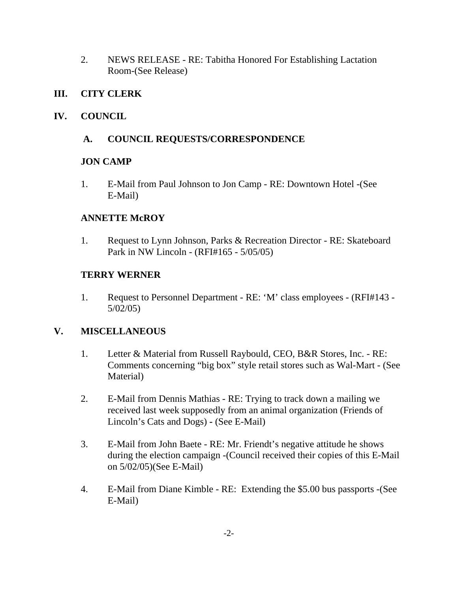2. NEWS RELEASE - RE: Tabitha Honored For Establishing Lactation Room-(See Release)

## **III. CITY CLERK**

## **IV. COUNCIL**

## **A. COUNCIL REQUESTS/CORRESPONDENCE**

## **JON CAMP**

1. E-Mail from Paul Johnson to Jon Camp - RE: Downtown Hotel -(See E-Mail)

## **ANNETTE McROY**

1. Request to Lynn Johnson, Parks & Recreation Director - RE: Skateboard Park in NW Lincoln - (RFI#165 - 5/05/05)

## **TERRY WERNER**

1. Request to Personnel Department - RE: 'M' class employees - (RFI#143 - 5/02/05)

## **V. MISCELLANEOUS**

- 1. Letter & Material from Russell Raybould, CEO, B&R Stores, Inc. RE: Comments concerning "big box" style retail stores such as Wal-Mart - (See Material)
- 2. E-Mail from Dennis Mathias RE: Trying to track down a mailing we received last week supposedly from an animal organization (Friends of Lincoln's Cats and Dogs) **-** (See E-Mail)
- 3. E-Mail from John Baete RE: Mr. Friendt's negative attitude he shows during the election campaign -(Council received their copies of this E-Mail on 5/02/05)(See E-Mail)
- 4. E-Mail from Diane Kimble RE: Extending the \$5.00 bus passports -(See E-Mail)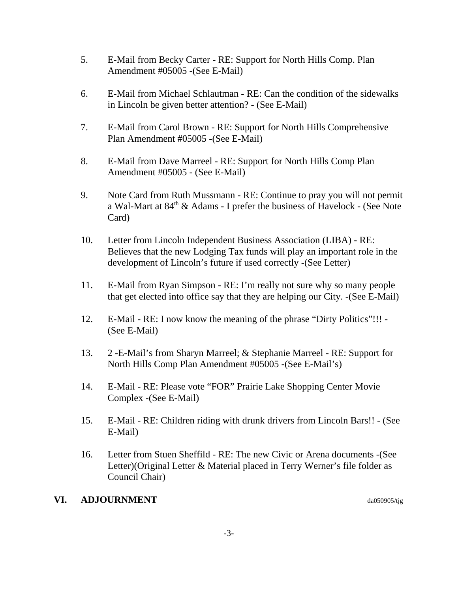- 5. E-Mail from Becky Carter RE: Support for North Hills Comp. Plan Amendment #05005 -(See E-Mail)
- 6. E-Mail from Michael Schlautman RE: Can the condition of the sidewalks in Lincoln be given better attention? - (See E-Mail)
- 7. E-Mail from Carol Brown RE: Support for North Hills Comprehensive Plan Amendment #05005 -(See E-Mail)
- 8. E-Mail from Dave Marreel RE: Support for North Hills Comp Plan Amendment #05005 - (See E-Mail)
- 9. Note Card from Ruth Mussmann RE: Continue to pray you will not permit a Wal-Mart at  $84<sup>th</sup>$  & Adams - I prefer the business of Havelock - (See Note Card)
- 10. Letter from Lincoln Independent Business Association (LIBA) RE: Believes that the new Lodging Tax funds will play an important role in the development of Lincoln's future if used correctly -(See Letter)
- 11. E-Mail from Ryan Simpson RE: I'm really not sure why so many people that get elected into office say that they are helping our City. -(See E-Mail)
- 12. E-Mail RE: I now know the meaning of the phrase "Dirty Politics"!!! (See E-Mail)
- 13. 2 -E-Mail's from Sharyn Marreel; & Stephanie Marreel RE: Support for North Hills Comp Plan Amendment #05005 -(See E-Mail's)
- 14. E-Mail RE: Please vote "FOR" Prairie Lake Shopping Center Movie Complex -(See E-Mail)
- 15. E-Mail RE: Children riding with drunk drivers from Lincoln Bars!! (See E-Mail)
- 16. Letter from Stuen Sheffild RE: The new Civic or Arena documents -(See Letter)(Original Letter & Material placed in Terry Werner's file folder as Council Chair)

**VI.** ADJOURNMENT da050905/tjg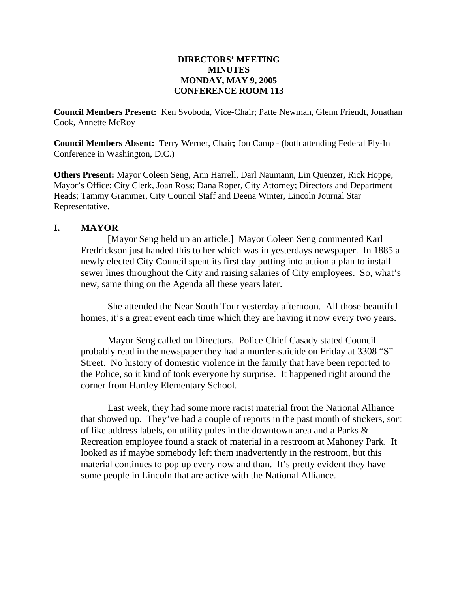### **DIRECTORS' MEETING MINUTES MONDAY, MAY 9, 2005 CONFERENCE ROOM 113**

**Council Members Present:** Ken Svoboda, Vice-Chair; Patte Newman, Glenn Friendt, Jonathan Cook, Annette McRoy

**Council Members Absent:** Terry Werner, Chair**;** Jon Camp - (both attending Federal Fly-In Conference in Washington, D.C.)

**Others Present:** Mayor Coleen Seng, Ann Harrell, Darl Naumann, Lin Quenzer, Rick Hoppe, Mayor's Office; City Clerk, Joan Ross; Dana Roper, City Attorney; Directors and Department Heads; Tammy Grammer, City Council Staff and Deena Winter, Lincoln Journal Star Representative.

## **I. MAYOR**

[Mayor Seng held up an article.] Mayor Coleen Seng commented Karl Fredrickson just handed this to her which was in yesterdays newspaper. In 1885 a newly elected City Council spent its first day putting into action a plan to install sewer lines throughout the City and raising salaries of City employees. So, what's new, same thing on the Agenda all these years later.

She attended the Near South Tour yesterday afternoon. All those beautiful homes, it's a great event each time which they are having it now every two years.

Mayor Seng called on Directors. Police Chief Casady stated Council probably read in the newspaper they had a murder-suicide on Friday at 3308 "S" Street. No history of domestic violence in the family that have been reported to the Police, so it kind of took everyone by surprise. It happened right around the corner from Hartley Elementary School.

Last week, they had some more racist material from the National Alliance that showed up. They've had a couple of reports in the past month of stickers, sort of like address labels, on utility poles in the downtown area and a Parks & Recreation employee found a stack of material in a restroom at Mahoney Park. It looked as if maybe somebody left them inadvertently in the restroom, but this material continues to pop up every now and than. It's pretty evident they have some people in Lincoln that are active with the National Alliance.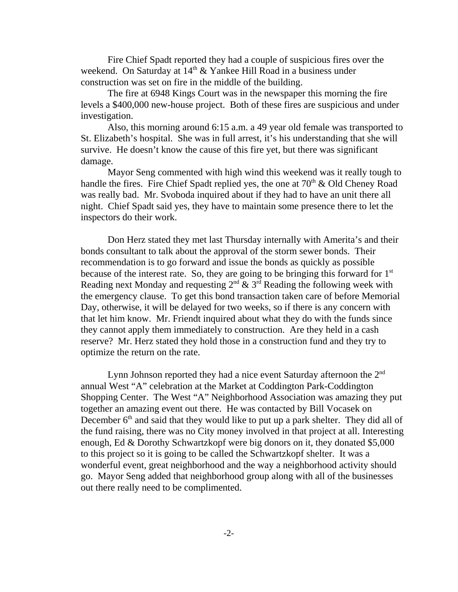Fire Chief Spadt reported they had a couple of suspicious fires over the weekend. On Saturday at  $14<sup>th</sup>$  & Yankee Hill Road in a business under construction was set on fire in the middle of the building.

The fire at 6948 Kings Court was in the newspaper this morning the fire levels a \$400,000 new-house project. Both of these fires are suspicious and under investigation.

Also, this morning around 6:15 a.m. a 49 year old female was transported to St. Elizabeth's hospital. She was in full arrest, it's his understanding that she will survive. He doesn't know the cause of this fire yet, but there was significant damage.

Mayor Seng commented with high wind this weekend was it really tough to handle the fires. Fire Chief Spadt replied yes, the one at  $70<sup>th</sup>$  & Old Cheney Road was really bad. Mr. Svoboda inquired about if they had to have an unit there all night. Chief Spadt said yes, they have to maintain some presence there to let the inspectors do their work.

 Don Herz stated they met last Thursday internally with Amerita's and their bonds consultant to talk about the approval of the storm sewer bonds. Their recommendation is to go forward and issue the bonds as quickly as possible because of the interest rate. So, they are going to be bringing this forward for  $1<sup>st</sup>$ Reading next Monday and requesting  $2^{nd}$  &  $3^{rd}$  Reading the following week with the emergency clause. To get this bond transaction taken care of before Memorial Day, otherwise, it will be delayed for two weeks, so if there is any concern with that let him know. Mr. Friendt inquired about what they do with the funds since they cannot apply them immediately to construction. Are they held in a cash reserve? Mr. Herz stated they hold those in a construction fund and they try to optimize the return on the rate.

Lynn Johnson reported they had a nice event Saturday afternoon the 2<sup>nd</sup> annual West "A" celebration at the Market at Coddington Park-Coddington Shopping Center. The West "A" Neighborhood Association was amazing they put together an amazing event out there. He was contacted by Bill Vocasek on December  $6<sup>th</sup>$  and said that they would like to put up a park shelter. They did all of the fund raising, there was no City money involved in that project at all. Interesting enough, Ed & Dorothy Schwartzkopf were big donors on it, they donated \$5,000 to this project so it is going to be called the Schwartzkopf shelter. It was a wonderful event, great neighborhood and the way a neighborhood activity should go. Mayor Seng added that neighborhood group along with all of the businesses out there really need to be complimented.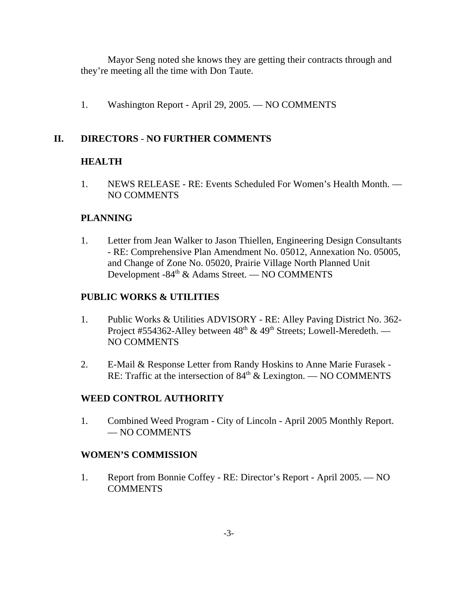Mayor Seng noted she knows they are getting their contracts through and they're meeting all the time with Don Taute.

1. Washington Report - April 29, 2005. — NO COMMENTS

## **II. DIRECTORS** - **NO FURTHER COMMENTS**

## **HEALTH**

1. NEWS RELEASE - RE: Events Scheduled For Women's Health Month. — NO COMMENTS

## **PLANNING**

1. Letter from Jean Walker to Jason Thiellen, Engineering Design Consultants - RE: Comprehensive Plan Amendment No. 05012, Annexation No. 05005, and Change of Zone No. 05020, Prairie Village North Planned Unit Development -84th & Adams Street. — NO COMMENTS

## **PUBLIC WORKS & UTILITIES**

- 1. Public Works & Utilities ADVISORY RE: Alley Paving District No. 362- Project #554362-Alley between 48<sup>th</sup> & 49<sup>th</sup> Streets; Lowell-Meredeth. — NO COMMENTS
- 2. E-Mail & Response Letter from Randy Hoskins to Anne Marie Furasek RE: Traffic at the intersection of  $84<sup>th</sup>$  & Lexington. — NO COMMENTS

# **WEED CONTROL AUTHORITY**

1. Combined Weed Program - City of Lincoln - April 2005 Monthly Report. — NO COMMENTS

## **WOMEN'S COMMISSION**

1. Report from Bonnie Coffey - RE: Director's Report - April 2005. — NO COMMENTS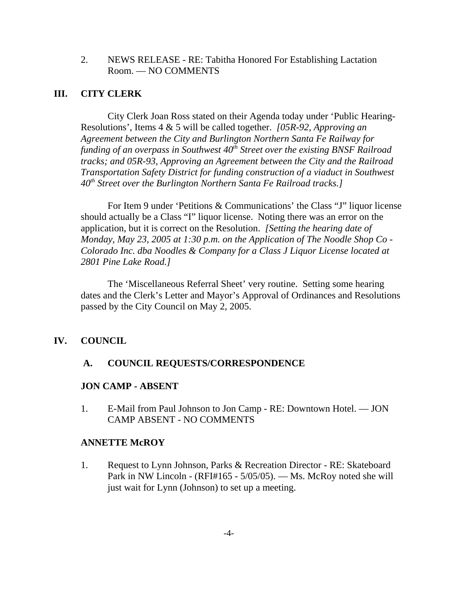2. NEWS RELEASE - RE: Tabitha Honored For Establishing Lactation Room. — NO COMMENTS

## **III. CITY CLERK**

City Clerk Joan Ross stated on their Agenda today under 'Public Hearing-Resolutions', Items 4 & 5 will be called together. *[05R-92, Approving an Agreement between the City and Burlington Northern Santa Fe Railway for funding of an overpass in Southwest 40<sup>th</sup> Street over the existing BNSF Railroad tracks; and 05R-93, Approving an Agreement between the City and the Railroad Transportation Safety District for funding construction of a viaduct in Southwest 40th Street over the Burlington Northern Santa Fe Railroad tracks.]* 

For Item 9 under 'Petitions & Communications' the Class "J" liquor license should actually be a Class "I" liquor license. Noting there was an error on the application, but it is correct on the Resolution. *[Setting the hearing date of Monday, May 23, 2005 at 1:30 p.m. on the Application of The Noodle Shop Co - Colorado Inc. dba Noodles & Company for a Class J Liquor License located at 2801 Pine Lake Road.]* 

The 'Miscellaneous Referral Sheet' very routine. Setting some hearing dates and the Clerk's Letter and Mayor's Approval of Ordinances and Resolutions passed by the City Council on May 2, 2005.

## **IV. COUNCIL**

### **A. COUNCIL REQUESTS/CORRESPONDENCE**

### **JON CAMP - ABSENT**

1. E-Mail from Paul Johnson to Jon Camp - RE: Downtown Hotel. — JON CAMP ABSENT - NO COMMENTS

### **ANNETTE McROY**

1. Request to Lynn Johnson, Parks & Recreation Director - RE: Skateboard Park in NW Lincoln - (RFI#165 - 5/05/05). — Ms. McRoy noted she will just wait for Lynn (Johnson) to set up a meeting.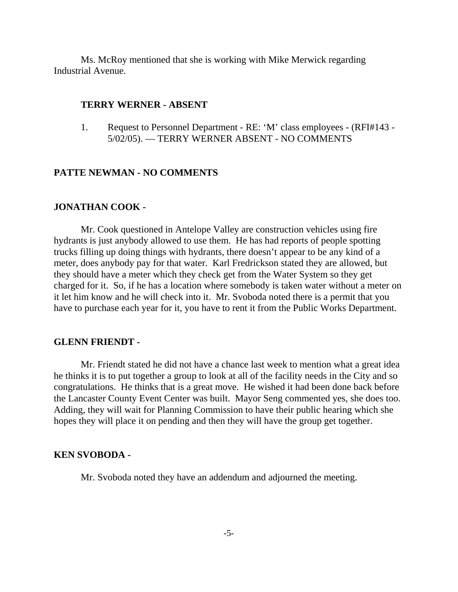Ms. McRoy mentioned that she is working with Mike Merwick regarding Industrial Avenue.

### **TERRY WERNER - ABSENT**

1. Request to Personnel Department - RE: 'M' class employees - (RFI#143 - 5/02/05). — TERRY WERNER ABSENT - NO COMMENTS

#### **PATTE NEWMAN - NO COMMENTS**

## **JONATHAN COOK -**

Mr. Cook questioned in Antelope Valley are construction vehicles using fire hydrants is just anybody allowed to use them. He has had reports of people spotting trucks filling up doing things with hydrants, there doesn't appear to be any kind of a meter, does anybody pay for that water. Karl Fredrickson stated they are allowed, but they should have a meter which they check get from the Water System so they get charged for it. So, if he has a location where somebody is taken water without a meter on it let him know and he will check into it. Mr. Svoboda noted there is a permit that you have to purchase each year for it, you have to rent it from the Public Works Department.

#### **GLENN FRIENDT -**

Mr. Friendt stated he did not have a chance last week to mention what a great idea he thinks it is to put together a group to look at all of the facility needs in the City and so congratulations. He thinks that is a great move. He wished it had been done back before the Lancaster County Event Center was built. Mayor Seng commented yes, she does too. Adding, they will wait for Planning Commission to have their public hearing which she hopes they will place it on pending and then they will have the group get together.

#### **KEN SVOBODA -**

Mr. Svoboda noted they have an addendum and adjourned the meeting.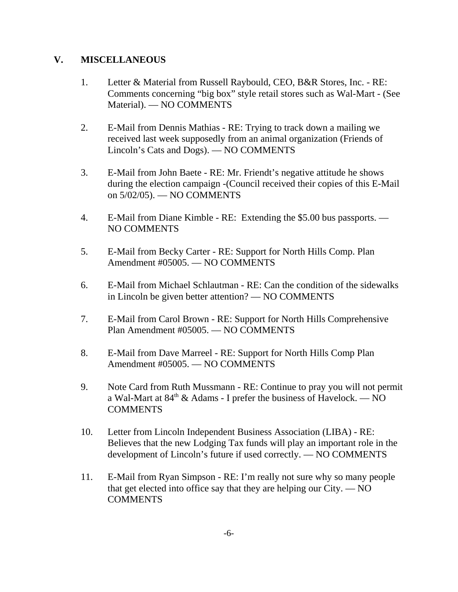## **V. MISCELLANEOUS**

- 1. Letter & Material from Russell Raybould, CEO, B&R Stores, Inc. RE: Comments concerning "big box" style retail stores such as Wal-Mart - (See Material). — NO COMMENTS
- 2. E-Mail from Dennis Mathias RE: Trying to track down a mailing we received last week supposedly from an animal organization (Friends of Lincoln's Cats and Dogs). — NO COMMENTS
- 3. E-Mail from John Baete RE: Mr. Friendt's negative attitude he shows during the election campaign -(Council received their copies of this E-Mail on 5/02/05). — NO COMMENTS
- 4. E-Mail from Diane Kimble RE: Extending the \$5.00 bus passports. NO COMMENTS
- 5. E-Mail from Becky Carter RE: Support for North Hills Comp. Plan Amendment #05005. — NO COMMENTS
- 6. E-Mail from Michael Schlautman RE: Can the condition of the sidewalks in Lincoln be given better attention? — NO COMMENTS
- 7. E-Mail from Carol Brown RE: Support for North Hills Comprehensive Plan Amendment #05005. — NO COMMENTS
- 8. E-Mail from Dave Marreel RE: Support for North Hills Comp Plan Amendment #05005. — NO COMMENTS
- 9. Note Card from Ruth Mussmann RE: Continue to pray you will not permit a Wal-Mart at  $84<sup>th</sup>$  & Adams - I prefer the business of Havelock. — NO COMMENTS
- 10. Letter from Lincoln Independent Business Association (LIBA) RE: Believes that the new Lodging Tax funds will play an important role in the development of Lincoln's future if used correctly. — NO COMMENTS
- 11. E-Mail from Ryan Simpson RE: I'm really not sure why so many people that get elected into office say that they are helping our City. — NO COMMENTS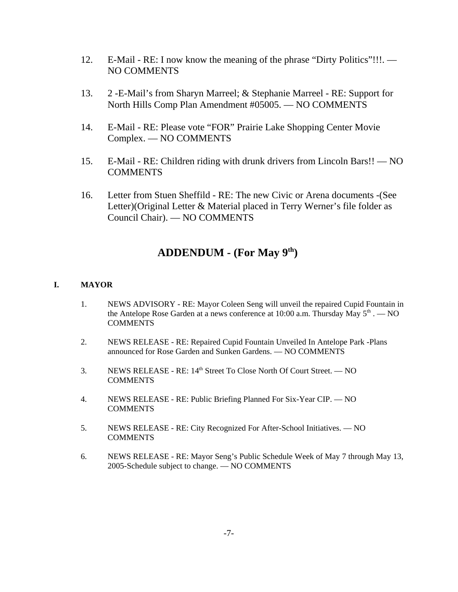- 12. E-Mail RE: I now know the meaning of the phrase "Dirty Politics"!!!. NO COMMENTS
- 13. 2 -E-Mail's from Sharyn Marreel; & Stephanie Marreel RE: Support for North Hills Comp Plan Amendment #05005. — NO COMMENTS
- 14. E-Mail RE: Please vote "FOR" Prairie Lake Shopping Center Movie Complex. — NO COMMENTS
- 15. E-Mail RE: Children riding with drunk drivers from Lincoln Bars!! NO COMMENTS
- 16. Letter from Stuen Sheffild RE: The new Civic or Arena documents -(See Letter)(Original Letter & Material placed in Terry Werner's file folder as Council Chair). — NO COMMENTS

# **ADDENDUM - (For May 9th)**

### **I. MAYOR**

- 1. NEWS ADVISORY RE: Mayor Coleen Seng will unveil the repaired Cupid Fountain in the Antelope Rose Garden at a news conference at 10:00 a.m. Thursday May  $5<sup>th</sup>$ .  $-$  NO **COMMENTS**
- 2. NEWS RELEASE RE: Repaired Cupid Fountain Unveiled In Antelope Park -Plans announced for Rose Garden and Sunken Gardens. — NO COMMENTS
- 3. NEWS RELEASE RE: 14th Street To Close North Of Court Street. NO **COMMENTS**
- 4. NEWS RELEASE RE: Public Briefing Planned For Six-Year CIP. NO COMMENTS
- 5. NEWS RELEASE RE: City Recognized For After-School Initiatives. NO **COMMENTS**
- 6. NEWS RELEASE RE: Mayor Seng's Public Schedule Week of May 7 through May 13, 2005-Schedule subject to change. — NO COMMENTS